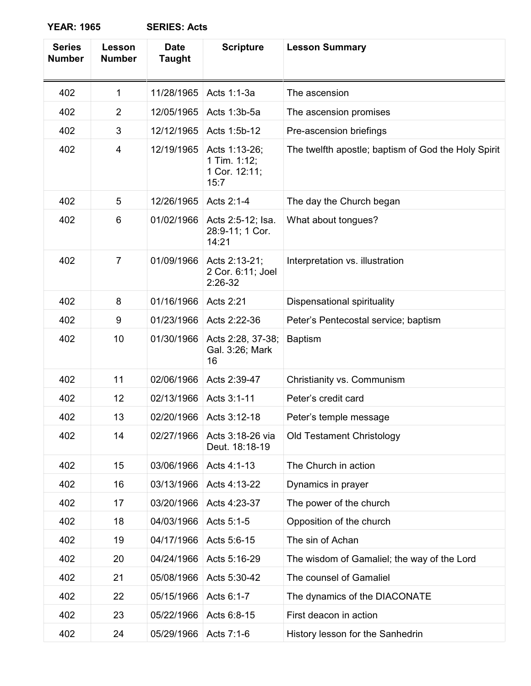| <b>Series</b><br><b>Number</b> | Lesson<br><b>Number</b> | <b>Date</b><br><b>Taught</b> | <b>Scripture</b>                                       | <b>Lesson Summary</b>                               |
|--------------------------------|-------------------------|------------------------------|--------------------------------------------------------|-----------------------------------------------------|
| 402                            | 1                       | 11/28/1965                   | Acts 1:1-3a                                            | The ascension                                       |
| 402                            | $\overline{2}$          | 12/05/1965                   | Acts 1:3b-5a                                           | The ascension promises                              |
| 402                            | 3                       | 12/12/1965                   | Acts 1:5b-12                                           | Pre-ascension briefings                             |
| 402                            | 4                       | 12/19/1965                   | Acts 1:13-26;<br>1 Tim. 1:12;<br>1 Cor. 12:11;<br>15:7 | The twelfth apostle; baptism of God the Holy Spirit |
| 402                            | 5                       | 12/26/1965                   | Acts 2:1-4                                             | The day the Church began                            |
| 402                            | 6                       | 01/02/1966                   | Acts 2:5-12; Isa.<br>28:9-11; 1 Cor.<br>14:21          | What about tongues?                                 |
| 402                            | $\overline{7}$          | 01/09/1966                   | Acts 2:13-21;<br>2 Cor. 6:11; Joel<br>$2:26-32$        | Interpretation vs. illustration                     |
| 402                            | 8                       | 01/16/1966                   | Acts 2:21                                              | Dispensational spirituality                         |
| 402                            | 9                       | 01/23/1966                   | Acts 2:22-36                                           | Peter's Pentecostal service; baptism                |
| 402                            | 10                      | 01/30/1966                   | Acts 2:28, 37-38;<br>Gal. 3:26; Mark<br>16             | <b>Baptism</b>                                      |
| 402                            | 11                      | 02/06/1966                   | Acts 2:39-47                                           | Christianity vs. Communism                          |
| 402                            | 12                      | 02/13/1966                   | Acts 3:1-11                                            | Peter's credit card                                 |
| 402                            | 13                      | 02/20/1966                   | Acts 3:12-18                                           | Peter's temple message                              |
| 402                            | 14                      | 02/27/1966                   | Acts 3:18-26 via<br>Deut. 18:18-19                     | <b>Old Testament Christology</b>                    |
| 402                            | 15                      | 03/06/1966                   | Acts 4:1-13                                            | The Church in action                                |
| 402                            | 16                      | 03/13/1966                   | Acts 4:13-22                                           | Dynamics in prayer                                  |
| 402                            | 17                      | 03/20/1966                   | Acts 4:23-37                                           | The power of the church                             |
| 402                            | 18                      | 04/03/1966                   | Acts 5:1-5                                             | Opposition of the church                            |
| 402                            | 19                      | 04/17/1966                   | Acts 5:6-15                                            | The sin of Achan                                    |
| 402                            | 20                      | 04/24/1966                   | Acts 5:16-29                                           | The wisdom of Gamaliel; the way of the Lord         |
| 402                            | 21                      | 05/08/1966                   | Acts 5:30-42                                           | The counsel of Gamaliel                             |
| 402                            | 22                      | 05/15/1966                   | Acts 6:1-7                                             | The dynamics of the DIACONATE                       |
| 402                            | 23                      | 05/22/1966                   | Acts 6:8-15                                            | First deacon in action                              |
| 402                            | 24                      | 05/29/1966                   | Acts 7:1-6                                             | History lesson for the Sanhedrin                    |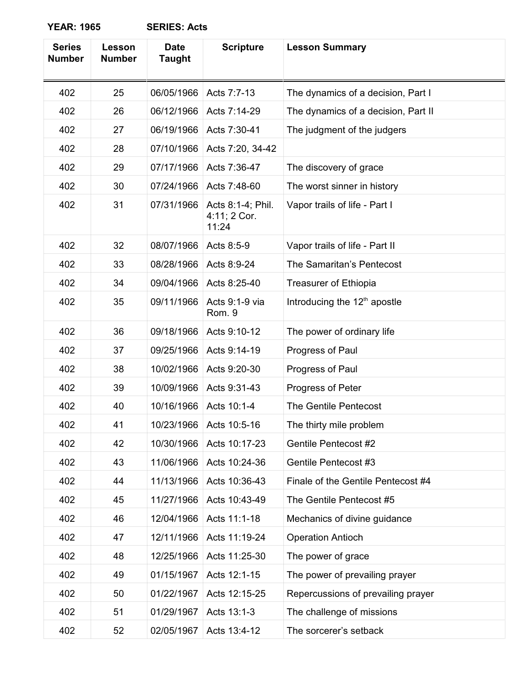| <b>Series</b><br><b>Number</b> | <b>Lesson</b><br><b>Number</b> | <b>Date</b><br><b>Taught</b> | <b>Scripture</b>                           | <b>Lesson Summary</b>                    |
|--------------------------------|--------------------------------|------------------------------|--------------------------------------------|------------------------------------------|
| 402                            | 25                             | 06/05/1966                   | Acts 7:7-13                                | The dynamics of a decision, Part I       |
| 402                            | 26                             | 06/12/1966                   | Acts 7:14-29                               | The dynamics of a decision, Part II      |
| 402                            | 27                             | 06/19/1966                   | Acts 7:30-41                               | The judgment of the judgers              |
| 402                            | 28                             | 07/10/1966                   | Acts 7:20, 34-42                           |                                          |
| 402                            | 29                             | 07/17/1966                   | Acts 7:36-47                               | The discovery of grace                   |
| 402                            | 30                             | 07/24/1966                   | Acts 7:48-60                               | The worst sinner in history              |
| 402                            | 31                             | 07/31/1966                   | Acts 8:1-4; Phil.<br>4:11; 2 Cor.<br>11:24 | Vapor trails of life - Part I            |
| 402                            | 32                             | 08/07/1966                   | Acts 8:5-9                                 | Vapor trails of life - Part II           |
| 402                            | 33                             | 08/28/1966                   | Acts 8:9-24                                | The Samaritan's Pentecost                |
| 402                            | 34                             | 09/04/1966                   | Acts 8:25-40                               | <b>Treasurer of Ethiopia</b>             |
| 402                            | 35                             | 09/11/1966                   | Acts 9:1-9 via<br>Rom. 9                   | Introducing the 12 <sup>th</sup> apostle |
| 402                            | 36                             | 09/18/1966                   | Acts 9:10-12                               | The power of ordinary life               |
| 402                            | 37                             | 09/25/1966                   | Acts 9:14-19                               | Progress of Paul                         |
| 402                            | 38                             | 10/02/1966                   | Acts 9:20-30                               | Progress of Paul                         |
| 402                            | 39                             | 10/09/1966                   | Acts 9:31-43                               | Progress of Peter                        |
| 402                            | 40                             | 10/16/1966                   | Acts 10:1-4                                | The Gentile Pentecost                    |
| 402                            | 41                             | 10/23/1966                   | Acts 10:5-16                               | The thirty mile problem                  |
| 402                            | 42                             | 10/30/1966                   | Acts 10:17-23                              | <b>Gentile Pentecost #2</b>              |
| 402                            | 43                             | 11/06/1966                   | Acts 10:24-36                              | Gentile Pentecost #3                     |
| 402                            | 44                             | 11/13/1966                   | Acts 10:36-43                              | Finale of the Gentile Pentecost #4       |
| 402                            | 45                             | 11/27/1966                   | Acts 10:43-49                              | The Gentile Pentecost #5                 |
| 402                            | 46                             | 12/04/1966                   | Acts 11:1-18                               | Mechanics of divine guidance             |
| 402                            | 47                             | 12/11/1966                   | Acts 11:19-24                              | <b>Operation Antioch</b>                 |
| 402                            | 48                             | 12/25/1966                   | Acts 11:25-30                              | The power of grace                       |
| 402                            | 49                             | 01/15/1967                   | Acts 12:1-15                               | The power of prevailing prayer           |
| 402                            | 50                             | 01/22/1967                   | Acts 12:15-25                              | Repercussions of prevailing prayer       |
| 402                            | 51                             | 01/29/1967                   | Acts 13:1-3                                | The challenge of missions                |
| 402                            | 52                             | 02/05/1967                   | Acts 13:4-12                               | The sorcerer's setback                   |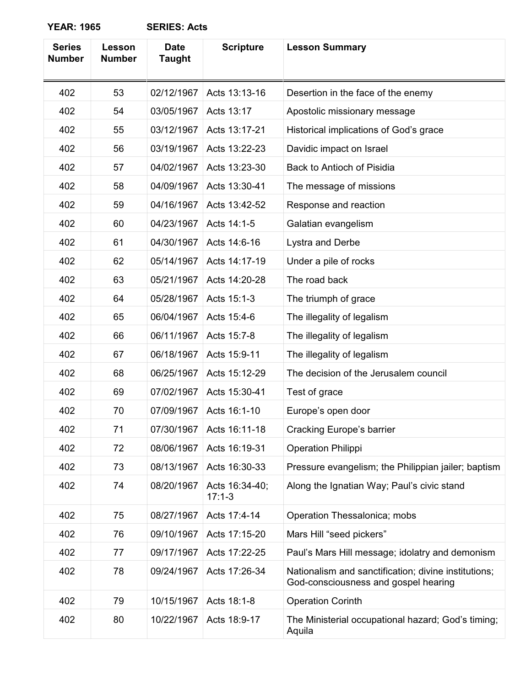| <b>Series</b><br><b>Number</b> | Lesson<br><b>Number</b> | <b>Date</b><br><b>Taught</b> | <b>Scripture</b>           | <b>Lesson Summary</b>                                                                        |
|--------------------------------|-------------------------|------------------------------|----------------------------|----------------------------------------------------------------------------------------------|
| 402                            | 53                      | 02/12/1967                   | Acts 13:13-16              | Desertion in the face of the enemy                                                           |
| 402                            | 54                      | 03/05/1967                   | Acts 13:17                 | Apostolic missionary message                                                                 |
| 402                            | 55                      | 03/12/1967                   | Acts 13:17-21              | Historical implications of God's grace                                                       |
| 402                            | 56                      | 03/19/1967                   | Acts 13:22-23              | Davidic impact on Israel                                                                     |
| 402                            | 57                      | 04/02/1967                   | Acts 13:23-30              | Back to Antioch of Pisidia                                                                   |
| 402                            | 58                      | 04/09/1967                   | Acts 13:30-41              | The message of missions                                                                      |
| 402                            | 59                      | 04/16/1967                   | Acts 13:42-52              | Response and reaction                                                                        |
| 402                            | 60                      | 04/23/1967                   | Acts 14:1-5                | Galatian evangelism                                                                          |
| 402                            | 61                      | 04/30/1967                   | Acts 14:6-16               | Lystra and Derbe                                                                             |
| 402                            | 62                      | 05/14/1967                   | Acts 14:17-19              | Under a pile of rocks                                                                        |
| 402                            | 63                      | 05/21/1967                   | Acts 14:20-28              | The road back                                                                                |
| 402                            | 64                      | 05/28/1967                   | Acts 15:1-3                | The triumph of grace                                                                         |
| 402                            | 65                      | 06/04/1967                   | Acts 15:4-6                | The illegality of legalism                                                                   |
| 402                            | 66                      | 06/11/1967                   | Acts 15:7-8                | The illegality of legalism                                                                   |
| 402                            | 67                      | 06/18/1967                   | Acts 15:9-11               | The illegality of legalism                                                                   |
| 402                            | 68                      | 06/25/1967                   | Acts 15:12-29              | The decision of the Jerusalem council                                                        |
| 402                            | 69                      | 07/02/1967                   | Acts 15:30-41              | Test of grace                                                                                |
| 402                            | 70                      | 07/09/1967                   | Acts 16:1-10               | Europe's open door                                                                           |
| 402                            | 71                      | 07/30/1967                   | Acts 16:11-18              | Cracking Europe's barrier                                                                    |
| 402                            | 72                      | 08/06/1967                   | Acts 16:19-31              | <b>Operation Philippi</b>                                                                    |
| 402                            | 73                      | 08/13/1967                   | Acts 16:30-33              | Pressure evangelism; the Philippian jailer; baptism                                          |
| 402                            | 74                      | 08/20/1967                   | Acts 16:34-40;<br>$17:1-3$ | Along the Ignatian Way; Paul's civic stand                                                   |
| 402                            | 75                      | 08/27/1967                   | Acts 17:4-14               | Operation Thessalonica; mobs                                                                 |
| 402                            | 76                      | 09/10/1967                   | Acts 17:15-20              | Mars Hill "seed pickers"                                                                     |
| 402                            | 77                      | 09/17/1967                   | Acts 17:22-25              | Paul's Mars Hill message; idolatry and demonism                                              |
| 402                            | 78                      | 09/24/1967                   | Acts 17:26-34              | Nationalism and sanctification; divine institutions;<br>God-consciousness and gospel hearing |
| 402                            | 79                      | 10/15/1967                   | Acts 18:1-8                | <b>Operation Corinth</b>                                                                     |
| 402                            | 80                      | 10/22/1967                   | Acts 18:9-17               | The Ministerial occupational hazard; God's timing;<br>Aquila                                 |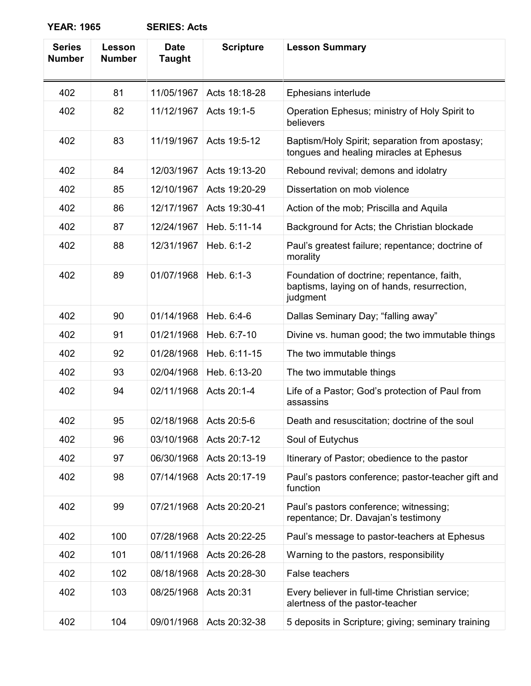| <b>Series</b><br><b>Number</b> | Lesson<br><b>Number</b> | <b>Date</b><br>Taught | <b>Scripture</b> | <b>Lesson Summary</b>                                                                                 |
|--------------------------------|-------------------------|-----------------------|------------------|-------------------------------------------------------------------------------------------------------|
| 402                            | 81                      | 11/05/1967            | Acts 18:18-28    | Ephesians interlude                                                                                   |
| 402                            | 82                      | 11/12/1967            | Acts 19:1-5      | Operation Ephesus; ministry of Holy Spirit to<br>believers                                            |
| 402                            | 83                      | 11/19/1967            | Acts 19:5-12     | Baptism/Holy Spirit; separation from apostasy;<br>tongues and healing miracles at Ephesus             |
| 402                            | 84                      | 12/03/1967            | Acts 19:13-20    | Rebound revival; demons and idolatry                                                                  |
| 402                            | 85                      | 12/10/1967            | Acts 19:20-29    | Dissertation on mob violence                                                                          |
| 402                            | 86                      | 12/17/1967            | Acts 19:30-41    | Action of the mob; Priscilla and Aquila                                                               |
| 402                            | 87                      | 12/24/1967            | Heb. 5:11-14     | Background for Acts; the Christian blockade                                                           |
| 402                            | 88                      | 12/31/1967            | Heb. 6:1-2       | Paul's greatest failure; repentance; doctrine of<br>morality                                          |
| 402                            | 89                      | 01/07/1968            | Heb. 6:1-3       | Foundation of doctrine; repentance, faith,<br>baptisms, laying on of hands, resurrection,<br>judgment |
| 402                            | 90                      | 01/14/1968            | Heb. 6:4-6       | Dallas Seminary Day; "falling away"                                                                   |
| 402                            | 91                      | 01/21/1968            | Heb. 6:7-10      | Divine vs. human good; the two immutable things                                                       |
| 402                            | 92                      | 01/28/1968            | Heb. 6:11-15     | The two immutable things                                                                              |
| 402                            | 93                      | 02/04/1968            | Heb. 6:13-20     | The two immutable things                                                                              |
| 402                            | 94                      | 02/11/1968            | Acts 20:1-4      | Life of a Pastor; God's protection of Paul from<br>assassins                                          |
| 402                            | 95                      | 02/18/1968            | Acts 20:5-6      | Death and resuscitation; doctrine of the soul                                                         |
| 402                            | 96                      | 03/10/1968            | Acts 20:7-12     | Soul of Eutychus                                                                                      |
| 402                            | 97                      | 06/30/1968            | Acts 20:13-19    | Itinerary of Pastor; obedience to the pastor                                                          |
| 402                            | 98                      | 07/14/1968            | Acts 20:17-19    | Paul's pastors conference; pastor-teacher gift and<br>function                                        |
| 402                            | 99                      | 07/21/1968            | Acts 20:20-21    | Paul's pastors conference; witnessing;<br>repentance; Dr. Davajan's testimony                         |
| 402                            | 100                     | 07/28/1968            | Acts 20:22-25    | Paul's message to pastor-teachers at Ephesus                                                          |
| 402                            | 101                     | 08/11/1968            | Acts 20:26-28    | Warning to the pastors, responsibility                                                                |
| 402                            | 102                     | 08/18/1968            | Acts 20:28-30    | False teachers                                                                                        |
| 402                            | 103                     | 08/25/1968            | Acts 20:31       | Every believer in full-time Christian service;<br>alertness of the pastor-teacher                     |
| 402                            | 104                     | 09/01/1968            | Acts 20:32-38    | 5 deposits in Scripture; giving; seminary training                                                    |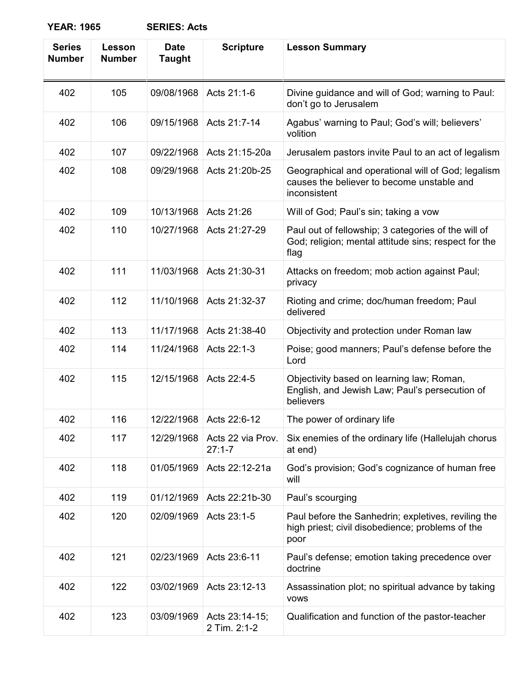| <b>Series</b><br><b>Number</b> | Lesson<br><b>Number</b> | <b>Date</b><br>Taught | <b>Scripture</b>                | <b>Lesson Summary</b>                                                                                               |
|--------------------------------|-------------------------|-----------------------|---------------------------------|---------------------------------------------------------------------------------------------------------------------|
| 402                            | 105                     | 09/08/1968            | Acts 21:1-6                     | Divine guidance and will of God; warning to Paul:<br>don't go to Jerusalem                                          |
| 402                            | 106                     | 09/15/1968            | Acts 21:7-14                    | Agabus' warning to Paul; God's will; believers'<br>volition                                                         |
| 402                            | 107                     | 09/22/1968            | Acts 21:15-20a                  | Jerusalem pastors invite Paul to an act of legalism                                                                 |
| 402                            | 108                     | 09/29/1968            | Acts 21:20b-25                  | Geographical and operational will of God; legalism<br>causes the believer to become unstable and<br>inconsistent    |
| 402                            | 109                     | 10/13/1968            | Acts 21:26                      | Will of God; Paul's sin; taking a vow                                                                               |
| 402                            | 110                     | 10/27/1968            | Acts 21:27-29                   | Paul out of fellowship; 3 categories of the will of<br>God; religion; mental attitude sins; respect for the<br>flag |
| 402                            | 111                     | 11/03/1968            | Acts 21:30-31                   | Attacks on freedom; mob action against Paul;<br>privacy                                                             |
| 402                            | 112                     | 11/10/1968            | Acts 21:32-37                   | Rioting and crime; doc/human freedom; Paul<br>delivered                                                             |
| 402                            | 113                     | 11/17/1968            | Acts 21:38-40                   | Objectivity and protection under Roman law                                                                          |
| 402                            | 114                     | 11/24/1968            | Acts 22:1-3                     | Poise; good manners; Paul's defense before the<br>Lord                                                              |
| 402                            | 115                     | 12/15/1968            | Acts 22:4-5                     | Objectivity based on learning law; Roman,<br>English, and Jewish Law; Paul's persecution of<br>believers            |
| 402                            | 116                     | 12/22/1968            | Acts 22:6-12                    | The power of ordinary life                                                                                          |
| 402                            | 117                     | 12/29/1968            | Acts 22 via Prov.<br>$27:1 - 7$ | Six enemies of the ordinary life (Hallelujah chorus<br>at end)                                                      |
| 402                            | 118                     | 01/05/1969            | Acts 22:12-21a                  | God's provision; God's cognizance of human free<br>will                                                             |
| 402                            | 119                     | 01/12/1969            | Acts 22:21b-30                  | Paul's scourging                                                                                                    |
| 402                            | 120                     | 02/09/1969            | Acts 23:1-5                     | Paul before the Sanhedrin; expletives, reviling the<br>high priest; civil disobedience; problems of the<br>poor     |
| 402                            | 121                     | 02/23/1969            | Acts 23:6-11                    | Paul's defense; emotion taking precedence over<br>doctrine                                                          |
| 402                            | 122                     | 03/02/1969            | Acts 23:12-13                   | Assassination plot; no spiritual advance by taking<br><b>VOWS</b>                                                   |
| 402                            | 123                     | 03/09/1969            | Acts 23:14-15;<br>2 Tim. 2:1-2  | Qualification and function of the pastor-teacher                                                                    |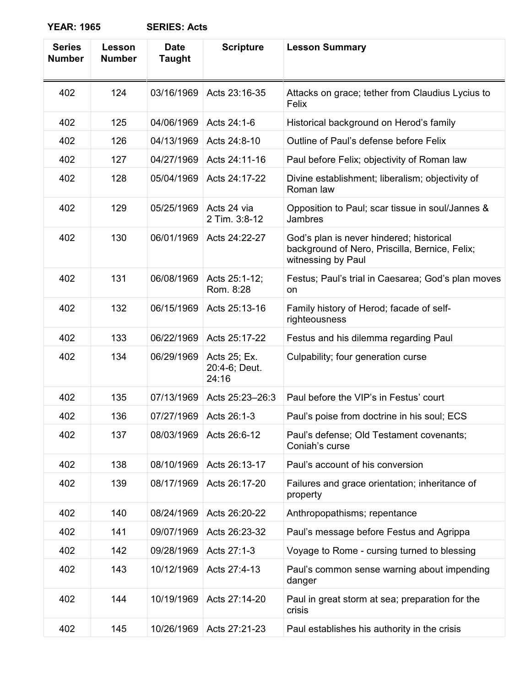| <b>Series</b><br><b>Number</b> | Lesson<br><b>Number</b> | <b>Date</b><br><b>Taught</b> | <b>Scripture</b>                       | <b>Lesson Summary</b>                                                                                            |
|--------------------------------|-------------------------|------------------------------|----------------------------------------|------------------------------------------------------------------------------------------------------------------|
| 402                            | 124                     | 03/16/1969                   | Acts 23:16-35                          | Attacks on grace; tether from Claudius Lycius to<br>Felix                                                        |
| 402                            | 125                     | 04/06/1969                   | Acts 24:1-6                            | Historical background on Herod's family                                                                          |
| 402                            | 126                     | 04/13/1969                   | Acts 24:8-10                           | Outline of Paul's defense before Felix                                                                           |
| 402                            | 127                     | 04/27/1969                   | Acts 24:11-16                          | Paul before Felix; objectivity of Roman law                                                                      |
| 402                            | 128                     | 05/04/1969                   | Acts 24:17-22                          | Divine establishment; liberalism; objectivity of<br>Roman law                                                    |
| 402                            | 129                     | 05/25/1969                   | Acts 24 via<br>2 Tim. 3:8-12           | Opposition to Paul; scar tissue in soul/Jannes &<br>Jambres                                                      |
| 402                            | 130                     | 06/01/1969                   | Acts 24:22-27                          | God's plan is never hindered; historical<br>background of Nero, Priscilla, Bernice, Felix;<br>witnessing by Paul |
| 402                            | 131                     | 06/08/1969                   | Acts 25:1-12;<br>Rom. 8:28             | Festus; Paul's trial in Caesarea; God's plan moves<br>on                                                         |
| 402                            | 132                     | 06/15/1969                   | Acts 25:13-16                          | Family history of Herod; facade of self-<br>righteousness                                                        |
| 402                            | 133                     | 06/22/1969                   | Acts 25:17-22                          | Festus and his dilemma regarding Paul                                                                            |
| 402                            | 134                     | 06/29/1969                   | Acts 25; Ex.<br>20:4-6; Deut.<br>24:16 | Culpability; four generation curse                                                                               |
| 402                            | 135                     | 07/13/1969                   | Acts 25:23-26:3                        | Paul before the VIP's in Festus' court                                                                           |
| 402                            | 136                     | 07/27/1969                   | Acts 26:1-3                            | Paul's poise from doctrine in his soul; ECS                                                                      |
| 402                            | 137                     | 08/03/1969                   | Acts 26:6-12                           | Paul's defense; Old Testament covenants;<br>Coniah's curse                                                       |
| 402                            | 138                     | 08/10/1969                   | Acts 26:13-17                          | Paul's account of his conversion                                                                                 |
| 402                            | 139                     | 08/17/1969                   | Acts 26:17-20                          | Failures and grace orientation; inheritance of<br>property                                                       |
| 402                            | 140                     | 08/24/1969                   | Acts 26:20-22                          | Anthropopathisms; repentance                                                                                     |
| 402                            | 141                     | 09/07/1969                   | Acts 26:23-32                          | Paul's message before Festus and Agrippa                                                                         |
| 402                            | 142                     | 09/28/1969                   | Acts 27:1-3                            | Voyage to Rome - cursing turned to blessing                                                                      |
| 402                            | 143                     | 10/12/1969                   | Acts 27:4-13                           | Paul's common sense warning about impending<br>danger                                                            |
| 402                            | 144                     | 10/19/1969                   | Acts 27:14-20                          | Paul in great storm at sea; preparation for the<br>crisis                                                        |
| 402                            | 145                     | 10/26/1969                   | Acts 27:21-23                          | Paul establishes his authority in the crisis                                                                     |